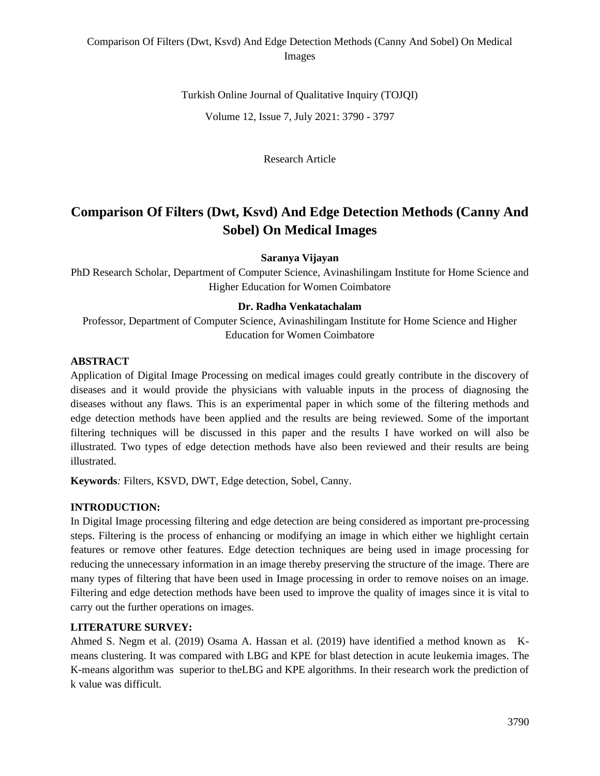# Comparison Of Filters (Dwt, Ksvd) And Edge Detection Methods (Canny And Sobel) On Medical Images

Turkish Online Journal of Qualitative Inquiry (TOJQI) Volume 12, Issue 7, July 2021: 3790 - 3797

Research Article

# **Comparison Of Filters (Dwt, Ksvd) And Edge Detection Methods (Canny And Sobel) On Medical Images**

**Saranya Vijayan**

PhD Research Scholar, Department of Computer Science, Avinashilingam Institute for Home Science and Higher Education for Women Coimbatore

#### **Dr. Radha Venkatachalam**

Professor, Department of Computer Science, Avinashilingam Institute for Home Science and Higher Education for Women Coimbatore

### **ABSTRACT**

Application of Digital Image Processing on medical images could greatly contribute in the discovery of diseases and it would provide the physicians with valuable inputs in the process of diagnosing the diseases without any flaws. This is an experimental paper in which some of the filtering methods and edge detection methods have been applied and the results are being reviewed. Some of the important filtering techniques will be discussed in this paper and the results I have worked on will also be illustrated. Two types of edge detection methods have also been reviewed and their results are being illustrated.

**Keywords***:* Filters, KSVD, DWT, Edge detection, Sobel, Canny.

### **INTRODUCTION:**

In Digital Image processing filtering and edge detection are being considered as important pre-processing steps. Filtering is the process of enhancing or modifying an image in which either we highlight certain features or remove other features. Edge detection techniques are being used in image processing for reducing the unnecessary information in an image thereby preserving the structure of the image. There are many types of filtering that have been used in Image processing in order to remove noises on an image. Filtering and edge detection methods have been used to improve the quality of images since it is vital to carry out the further operations on images.

### **LITERATURE SURVEY:**

Ahmed S. Negm et al. (2019) Osama A. Hassan et al. (2019) have identified a method known as Kmeans clustering. It was compared with LBG and KPE for blast detection in acute leukemia images. The K-means algorithm was superior to theLBG and KPE algorithms. In their research work the prediction of k value was difficult.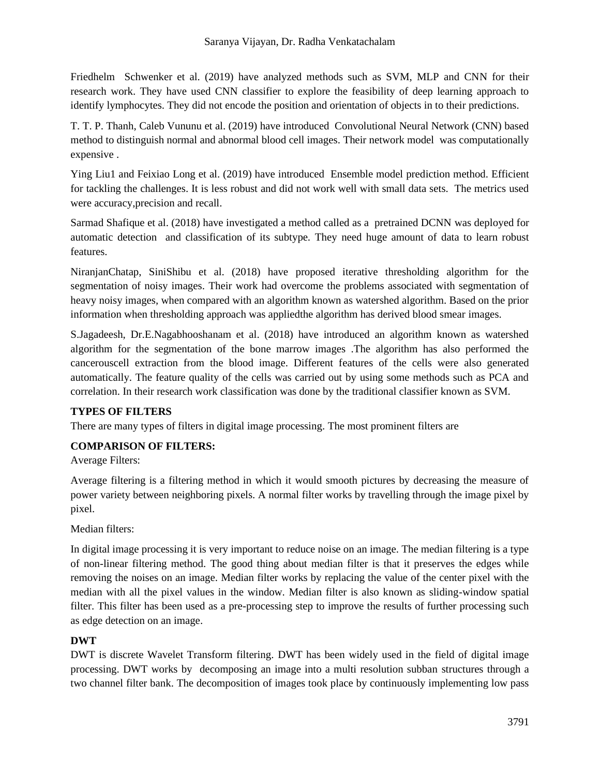Friedhelm Schwenker et al. (2019) have analyzed methods such as SVM, MLP and CNN for their research work. They have used CNN classifier to explore the feasibility of deep learning approach to identify lymphocytes. They did not encode the position and orientation of objects in to their predictions.

T. T. P. Thanh, Caleb Vununu et al. (2019) have introduced Convolutional Neural Network (CNN) based method to distinguish normal and abnormal blood cell images. Their network model was computationally expensive .

Ying Liu1 and Feixiao Long et al. (2019) have introduced Ensemble model prediction method. Efficient for tackling the challenges. It is less robust and did not work well with small data sets. The metrics used were accuracy,precision and recall.

Sarmad Shafique et al. (2018) have investigated a method called as a pretrained DCNN was deployed for automatic detection and classification of its subtype. They need huge amount of data to learn robust features.

NiranjanChatap, SiniShibu et al. (2018) have proposed iterative thresholding algorithm for the segmentation of noisy images. Their work had overcome the problems associated with segmentation of heavy noisy images, when compared with an algorithm known as watershed algorithm. Based on the prior information when thresholding approach was appliedthe algorithm has derived blood smear images.

S.Jagadeesh, Dr.E.Nagabhooshanam et al. (2018) have introduced an algorithm known as watershed algorithm for the segmentation of the bone marrow images .The algorithm has also performed the cancerouscell extraction from the blood image. Different features of the cells were also generated automatically. The feature quality of the cells was carried out by using some methods such as PCA and correlation. In their research work classification was done by the traditional classifier known as SVM.

### **TYPES OF FILTERS**

There are many types of filters in digital image processing. The most prominent filters are

### **COMPARISON OF FILTERS:**

Average Filters:

Average filtering is a filtering method in which it would smooth pictures by decreasing the measure of power variety between neighboring pixels. A normal filter works by travelling through the image pixel by pixel.

Median filters:

In digital image processing it is very important to reduce noise on an image. The median filtering is a type of non-linear filtering method. The good thing about median filter is that it preserves the edges while removing the noises on an image. Median filter works by replacing the value of the center pixel with the median with all the pixel values in the window. Median filter is also known as sliding-window spatial filter. This filter has been used as a pre-processing step to improve the results of further processing such as edge detection on an image.

### **DWT**

DWT is discrete Wavelet Transform filtering. DWT has been widely used in the field of digital image processing. DWT works by decomposing an image into a multi resolution subban structures through a two channel filter bank. The decomposition of images took place by continuously implementing low pass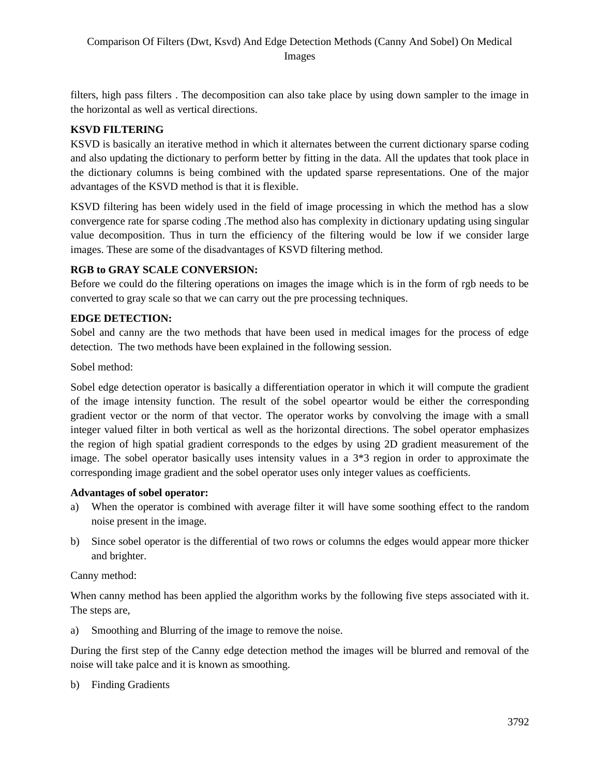filters, high pass filters . The decomposition can also take place by using down sampler to the image in the horizontal as well as vertical directions.

# **KSVD FILTERING**

KSVD is basically an iterative method in which it alternates between the current dictionary sparse coding and also updating the dictionary to perform better by fitting in the data. All the updates that took place in the dictionary columns is being combined with the updated sparse representations. One of the major advantages of the KSVD method is that it is flexible.

KSVD filtering has been widely used in the field of image processing in which the method has a slow convergence rate for sparse coding .The method also has complexity in dictionary updating using singular value decomposition. Thus in turn the efficiency of the filtering would be low if we consider large images. These are some of the disadvantages of KSVD filtering method.

# **RGB to GRAY SCALE CONVERSION:**

Before we could do the filtering operations on images the image which is in the form of rgb needs to be converted to gray scale so that we can carry out the pre processing techniques.

# **EDGE DETECTION:**

Sobel and canny are the two methods that have been used in medical images for the process of edge detection. The two methods have been explained in the following session.

Sobel method:

Sobel edge detection operator is basically a differentiation operator in which it will compute the gradient of the image intensity function. The result of the sobel opeartor would be either the corresponding gradient vector or the norm of that vector. The operator works by convolving the image with a small integer valued filter in both vertical as well as the horizontal directions. The sobel operator emphasizes the region of high spatial gradient corresponds to the edges by using 2D gradient measurement of the image. The sobel operator basically uses intensity values in a 3\*3 region in order to approximate the corresponding image gradient and the sobel operator uses only integer values as coefficients.

### **Advantages of sobel operator:**

- a) When the operator is combined with average filter it will have some soothing effect to the random noise present in the image.
- b) Since sobel operator is the differential of two rows or columns the edges would appear more thicker and brighter.

Canny method:

When canny method has been applied the algorithm works by the following five steps associated with it. The steps are,

a) Smoothing and Blurring of the image to remove the noise.

During the first step of the Canny edge detection method the images will be blurred and removal of the noise will take palce and it is known as smoothing.

b) Finding Gradients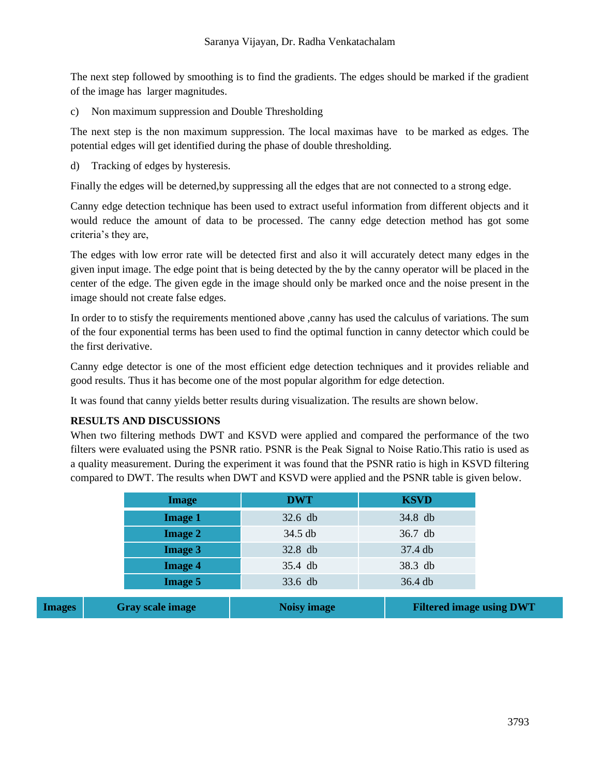The next step followed by smoothing is to find the gradients. The edges should be marked if the gradient of the image has larger magnitudes.

c) Non maximum suppression and Double Thresholding

The next step is the non maximum suppression. The local maximas have to be marked as edges. The potential edges will get identified during the phase of double thresholding.

d) Tracking of edges by hysteresis.

Finally the edges will be deterned,by suppressing all the edges that are not connected to a strong edge.

Canny edge detection technique has been used to extract useful information from different objects and it would reduce the amount of data to be processed. The canny edge detection method has got some criteria's they are,

The edges with low error rate will be detected first and also it will accurately detect many edges in the given input image. The edge point that is being detected by the by the canny operator will be placed in the center of the edge. The given egde in the image should only be marked once and the noise present in the image should not create false edges.

In order to to stisfy the requirements mentioned above ,canny has used the calculus of variations. The sum of the four exponential terms has been used to find the optimal function in canny detector which could be the first derivative.

Canny edge detector is one of the most efficient edge detection techniques and it provides reliable and good results. Thus it has become one of the most popular algorithm for edge detection.

It was found that canny yields better results during visualization. The results are shown below.

### **RESULTS AND DISCUSSIONS**

When two filtering methods DWT and KSVD were applied and compared the performance of the two filters were evaluated using the PSNR ratio. PSNR is the Peak Signal to Noise Ratio.This ratio is used as a quality measurement. During the experiment it was found that the PSNR ratio is high in KSVD filtering compared to DWT. The results when DWT and KSVD were applied and the PSNR table is given below.

|               | <b>Image</b>            | <b>DWT</b>  | <b>KSVD</b>                     |
|---------------|-------------------------|-------------|---------------------------------|
|               | <b>Image 1</b>          | $32.6$ db   | 34.8 db                         |
|               | <b>Image 2</b>          | 34.5 db     | 36.7 db                         |
|               | <b>Image 3</b>          | 32.8 db     | 37.4 db                         |
|               | <b>Image 4</b>          | 35.4 db     | 38.3 db                         |
|               | <b>Image 5</b>          | 33.6 db     | 36.4 db                         |
| <b>Images</b> | <b>Gray scale image</b> | Noisy image | <b>Filtered image using DWT</b> |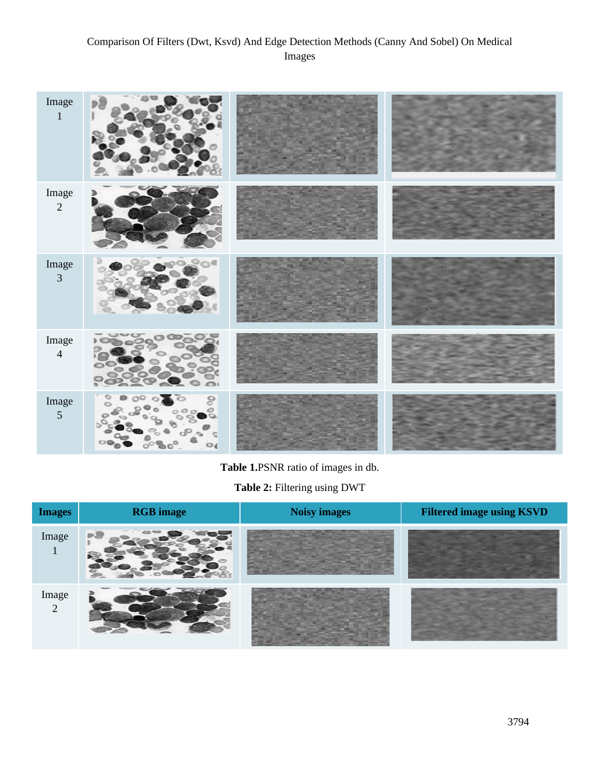# Comparison Of Filters (Dwt, Ksvd) And Edge Detection Methods (Canny And Sobel) On Medical Images

| Image<br>$\mathbf{1}$   | p)                    |  |
|-------------------------|-----------------------|--|
| Image $\frac{2}{3}$     |                       |  |
| Image<br>$\overline{3}$ | o.                    |  |
| Image<br>$\overline{4}$ | 5 <sup>CD</sup><br>h. |  |
| Image<br>$\overline{5}$ | 9<br>$\bigcirc$<br>o  |  |

**Table 1.**PSNR ratio of images in db.

**Table 2:** Filtering using DWT

| <b>Images</b> | <b>RGB</b> image | Noisy images | <b>Filtered image using KSVD</b> |
|---------------|------------------|--------------|----------------------------------|
| Image         |                  |              |                                  |
| Image<br>2    |                  |              |                                  |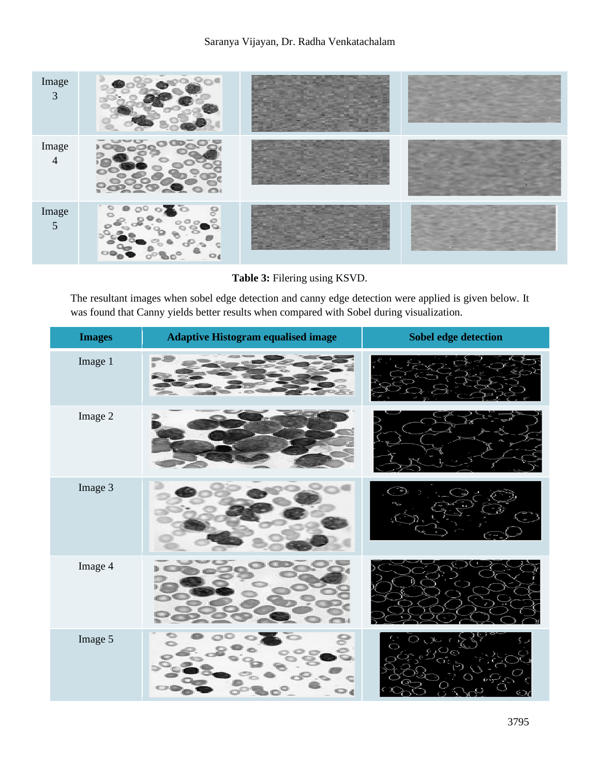

**Table 3:** Filering using KSVD.

The resultant images when sobel edge detection and canny edge detection were applied is given below. It was found that Canny yields better results when compared with Sobel during visualization.

| <b>Images</b> | <b>Adaptive Histogram equalised image</b> | Sobel edge detection |
|---------------|-------------------------------------------|----------------------|
| Image 1       |                                           |                      |
| Image 2       |                                           |                      |
| Image 3       |                                           |                      |
| Image 4       |                                           |                      |
| Image 5       |                                           |                      |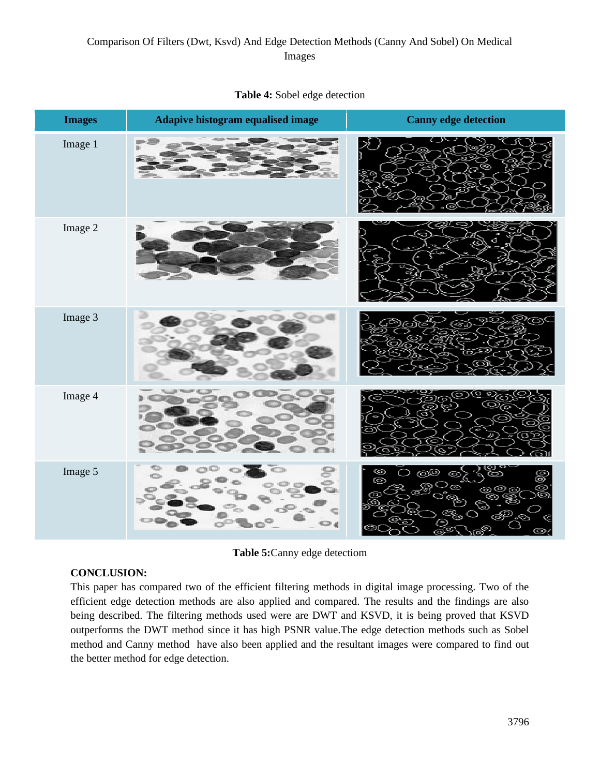| <b>Images</b> | Adapive histogram equalised image | <b>Canny edge detection</b>                                                                         |
|---------------|-----------------------------------|-----------------------------------------------------------------------------------------------------|
| Image 1       |                                   | ≫                                                                                                   |
| Image 2       |                                   |                                                                                                     |
| Image 3       |                                   |                                                                                                     |
| Image 4       |                                   |                                                                                                     |
| Image 5       |                                   | $\circledcirc$<br>8<br>ැලු<br>$\circledcirc$<br>Ó.<br>ට<br>(O)<br>ര<br>ര<br>ල<br>V<br>GO<br>∙⊗<br>E |

### **Table 4:** Sobel edge detection

**Table 5:**Canny edge detectiom

### **CONCLUSION:**

This paper has compared two of the efficient filtering methods in digital image processing. Two of the efficient edge detection methods are also applied and compared. The results and the findings are also being described. The filtering methods used were are DWT and KSVD, it is being proved that KSVD outperforms the DWT method since it has high PSNR value.The edge detection methods such as Sobel method and Canny method have also been applied and the resultant images were compared to find out the better method for edge detection.